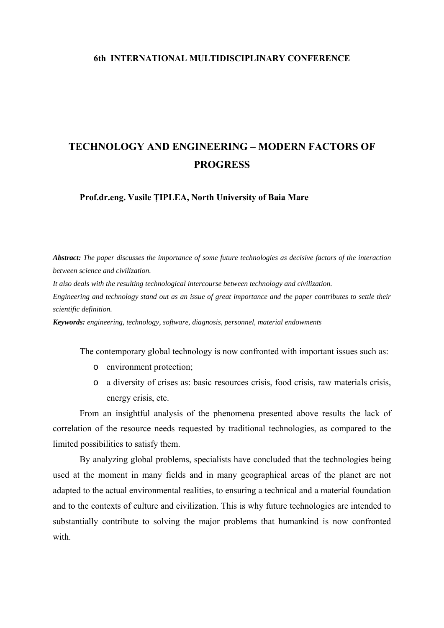## **6th INTERNATIONAL MULTIDISCIPLINARY CONFERENCE**

## **TECHNOLOGY AND ENGINEERING – MODERN FACTORS OF PROGRESS**

**Prof.dr.eng. Vasile ŢIPLEA, North University of Baia Mare** 

*Abstract: The paper discusses the importance of some future technologies as decisive factors of the interaction between science and civilization.* 

*It also deals with the resulting technological intercourse between technology and civilization.* 

*Engineering and technology stand out as an issue of great importance and the paper contributes to settle their scientific definition.* 

*Keywords: engineering, technology, software, diagnosis, personnel, material endowments* 

The contemporary global technology is now confronted with important issues such as:

- o environment protection;
- o a diversity of crises as: basic resources crisis, food crisis, raw materials crisis, energy crisis, etc.

From an insightful analysis of the phenomena presented above results the lack of correlation of the resource needs requested by traditional technologies, as compared to the limited possibilities to satisfy them.

By analyzing global problems, specialists have concluded that the technologies being used at the moment in many fields and in many geographical areas of the planet are not adapted to the actual environmental realities, to ensuring a technical and a material foundation and to the contexts of culture and civilization. This is why future technologies are intended to substantially contribute to solving the major problems that humankind is now confronted with.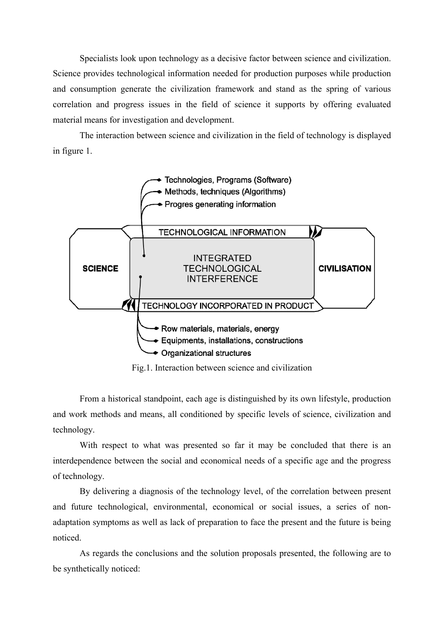Specialists look upon technology as a decisive factor between science and civilization. Science provides technological information needed for production purposes while production and consumption generate the civilization framework and stand as the spring of various correlation and progress issues in the field of science it supports by offering evaluated material means for investigation and development.

The interaction between science and civilization in the field of technology is displayed in figure 1.



Fig.1. Interaction between science and civilization

From a historical standpoint, each age is distinguished by its own lifestyle, production and work methods and means, all conditioned by specific levels of science, civilization and technology.

With respect to what was presented so far it may be concluded that there is an interdependence between the social and economical needs of a specific age and the progress of technology.

By delivering a diagnosis of the technology level, of the correlation between present and future technological, environmental, economical or social issues, a series of nonadaptation symptoms as well as lack of preparation to face the present and the future is being noticed.

As regards the conclusions and the solution proposals presented, the following are to be synthetically noticed: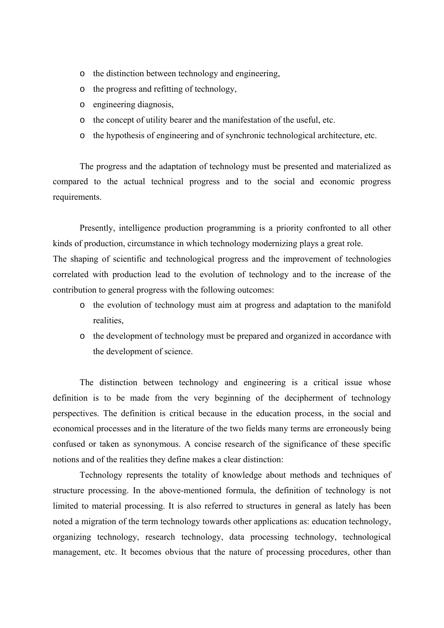- o the distinction between technology and engineering,
- o the progress and refitting of technology,
- o engineering diagnosis,
- o the concept of utility bearer and the manifestation of the useful, etc.
- o the hypothesis of engineering and of synchronic technological architecture, etc.

The progress and the adaptation of technology must be presented and materialized as compared to the actual technical progress and to the social and economic progress requirements.

Presently, intelligence production programming is a priority confronted to all other kinds of production, circumstance in which technology modernizing plays a great role. The shaping of scientific and technological progress and the improvement of technologies correlated with production lead to the evolution of technology and to the increase of the contribution to general progress with the following outcomes:

- o the evolution of technology must aim at progress and adaptation to the manifold realities,
- o the development of technology must be prepared and organized in accordance with the development of science.

The distinction between technology and engineering is a critical issue whose definition is to be made from the very beginning of the decipherment of technology perspectives. The definition is critical because in the education process, in the social and economical processes and in the literature of the two fields many terms are erroneously being confused or taken as synonymous. A concise research of the significance of these specific notions and of the realities they define makes a clear distinction:

Technology represents the totality of knowledge about methods and techniques of structure processing. In the above-mentioned formula, the definition of technology is not limited to material processing. It is also referred to structures in general as lately has been noted a migration of the term technology towards other applications as: education technology, organizing technology, research technology, data processing technology, technological management, etc. It becomes obvious that the nature of processing procedures, other than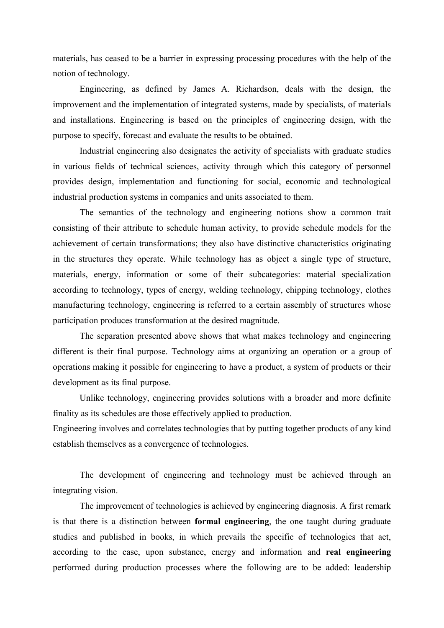materials, has ceased to be a barrier in expressing processing procedures with the help of the notion of technology.

Engineering, as defined by James A. Richardson, deals with the design, the improvement and the implementation of integrated systems, made by specialists, of materials and installations. Engineering is based on the principles of engineering design, with the purpose to specify, forecast and evaluate the results to be obtained.

Industrial engineering also designates the activity of specialists with graduate studies in various fields of technical sciences, activity through which this category of personnel provides design, implementation and functioning for social, economic and technological industrial production systems in companies and units associated to them.

The semantics of the technology and engineering notions show a common trait consisting of their attribute to schedule human activity, to provide schedule models for the achievement of certain transformations; they also have distinctive characteristics originating in the structures they operate. While technology has as object a single type of structure, materials, energy, information or some of their subcategories: material specialization according to technology, types of energy, welding technology, chipping technology, clothes manufacturing technology, engineering is referred to a certain assembly of structures whose participation produces transformation at the desired magnitude.

The separation presented above shows that what makes technology and engineering different is their final purpose. Technology aims at organizing an operation or a group of operations making it possible for engineering to have a product, a system of products or their development as its final purpose.

Unlike technology, engineering provides solutions with a broader and more definite finality as its schedules are those effectively applied to production.

Engineering involves and correlates technologies that by putting together products of any kind establish themselves as a convergence of technologies.

The development of engineering and technology must be achieved through an integrating vision.

The improvement of technologies is achieved by engineering diagnosis. A first remark is that there is a distinction between **formal engineering**, the one taught during graduate studies and published in books, in which prevails the specific of technologies that act, according to the case, upon substance, energy and information and **real engineering**  performed during production processes where the following are to be added: leadership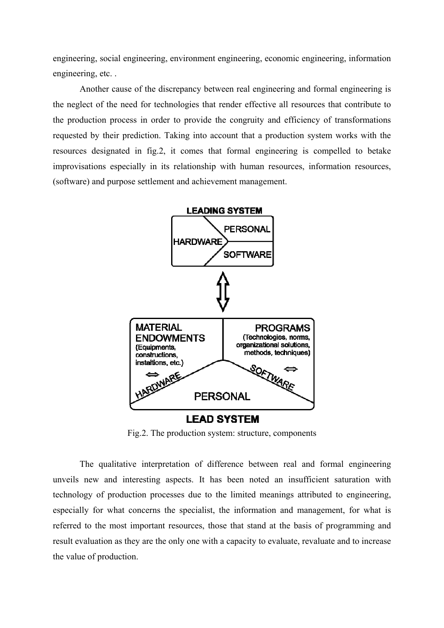engineering, social engineering, environment engineering, economic engineering, information engineering, etc. .

Another cause of the discrepancy between real engineering and formal engineering is the neglect of the need for technologies that render effective all resources that contribute to the production process in order to provide the congruity and efficiency of transformations requested by their prediction. Taking into account that a production system works with the resources designated in fig.2, it comes that formal engineering is compelled to betake improvisations especially in its relationship with human resources, information resources, (software) and purpose settlement and achievement management.



Fig.2. The production system: structure, components

The qualitative interpretation of difference between real and formal engineering unveils new and interesting aspects. It has been noted an insufficient saturation with technology of production processes due to the limited meanings attributed to engineering, especially for what concerns the specialist, the information and management, for what is referred to the most important resources, those that stand at the basis of programming and result evaluation as they are the only one with a capacity to evaluate, revaluate and to increase the value of production.